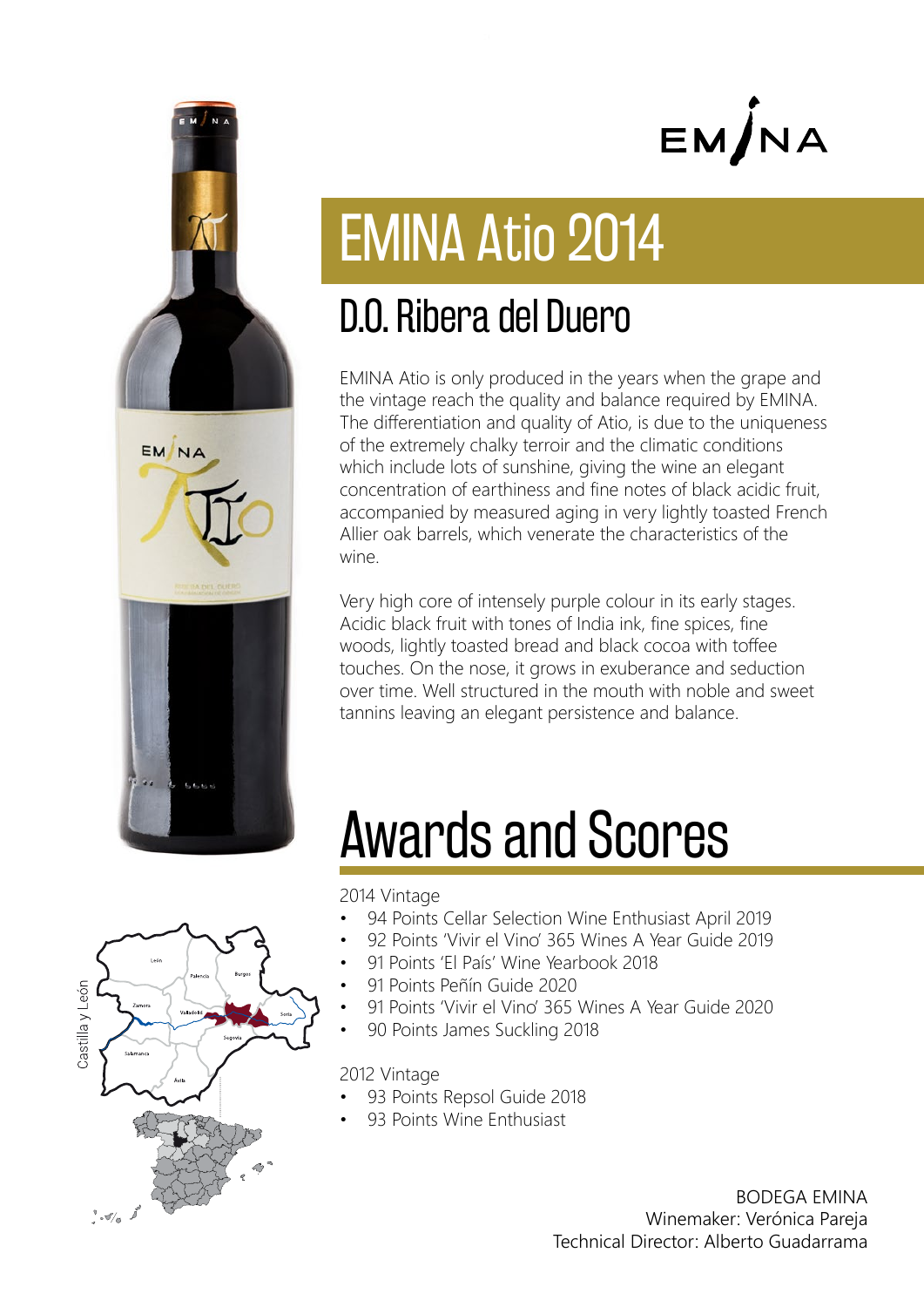

# EM/NA

# EMINA Atio 2014

### D.O. Ribera del Duero

EMINA Atio is only produced in the years when the grape and the vintage reach the quality and balance required by EMINA. The differentiation and quality of Atio, is due to the uniqueness of the extremely chalky terroir and the climatic conditions which include lots of sunshine, giving the wine an elegant concentration of earthiness and fine notes of black acidic fruit, accompanied by measured aging in very lightly toasted French Allier oak barrels, which venerate the characteristics of the wine.

Very high core of intensely purple colour in its early stages. Acidic black fruit with tones of India ink, fine spices, fine woods, lightly toasted bread and black cocoa with toffee touches. On the nose, it grows in exuberance and seduction over time. Well structured in the mouth with noble and sweet tannins leaving an elegant persistence and balance.

# Awards and Scores

2014 Vintage

- 94 Points Cellar Selection Wine Enthusiast April 2019
- 92 Points 'Vivir el Vino' 365 Wines A Year Guide 2019
- 91 Points 'El País' Wine Yearbook 2018
- 91 Points Peñín Guide 2020
- 91 Points 'Vivir el Vino' 365 Wines A Year Guide 2020
- 90 Points James Suckling 2018

2012 Vintage

- 93 Points Repsol Guide 2018
- 93 Points Wine Enthusiast

BODEGA EMINA Winemaker: Verónica Pareja Technical Director: Alberto Guadarrama